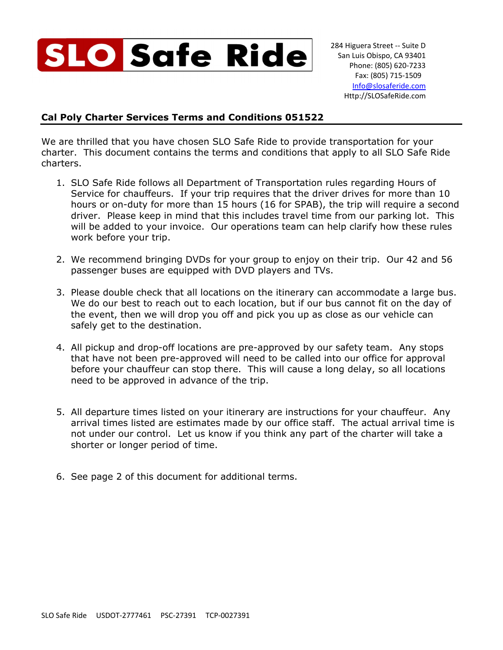

# **Cal Poly Charter Services Terms and Conditions 051522**

We are thrilled that you have chosen SLO Safe Ride to provide transportation for your charter. This document contains the terms and conditions that apply to all SLO Safe Ride charters.

- 1. SLO Safe Ride follows all Department of Transportation rules regarding Hours of Service for chauffeurs. If your trip requires that the driver drives for more than 10 hours or on-duty for more than 15 hours (16 for SPAB), the trip will require a second driver. Please keep in mind that this includes travel time from our parking lot. This will be added to your invoice. Our operations team can help clarify how these rules work before your trip.
- 2. We recommend bringing DVDs for your group to enjoy on their trip. Our 42 and 56 passenger buses are equipped with DVD players and TVs.
- 3. Please double check that all locations on the itinerary can accommodate a large bus. We do our best to reach out to each location, but if our bus cannot fit on the day of the event, then we will drop you off and pick you up as close as our vehicle can safely get to the destination.
- 4. All pickup and drop-off locations are pre-approved by our safety team. Any stops that have not been pre-approved will need to be called into our office for approval before your chauffeur can stop there. This will cause a long delay, so all locations need to be approved in advance of the trip.
- 5. All departure times listed on your itinerary are instructions for your chauffeur. Any arrival times listed are estimates made by our office staff. The actual arrival time is not under our control. Let us know if you think any part of the charter will take a shorter or longer period of time.
- 6. See page 2 of this document for additional terms.